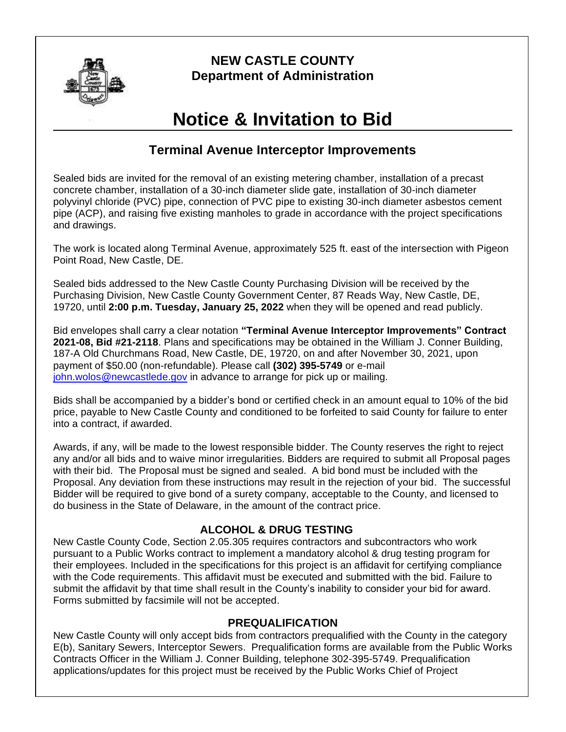

# **NEW CASTLE COUNTY Department of Administration**

# **Notice & Invitation to Bid**

## **Terminal Avenue Interceptor Improvements**

Sealed bids are invited for the removal of an existing metering chamber, installation of a precast concrete chamber, installation of a 30-inch diameter slide gate, installation of 30-inch diameter polyvinyl chloride (PVC) pipe, connection of PVC pipe to existing 30-inch diameter asbestos cement pipe (ACP), and raising five existing manholes to grade in accordance with the project specifications and drawings.

The work is located along Terminal Avenue, approximately 525 ft. east of the intersection with Pigeon Point Road, New Castle, DE.

Sealed bids addressed to the New Castle County Purchasing Division will be received by the Purchasing Division, New Castle County Government Center, 87 Reads Way, New Castle, DE, 19720, until **2:00 p.m. Tuesday, January 25, 2022** when they will be opened and read publicly.

Bid envelopes shall carry a clear notation **"Terminal Avenue Interceptor Improvements" Contract 2021-08, Bid #21-2118**. Plans and specifications may be obtained in the William J. Conner Building, 187-A Old Churchmans Road, New Castle, DE, 19720, on and after November 30, 2021, upon payment of \$50.00 (non-refundable). Please call **(302) 395-5749** or e-mail [john.wolos@newcastlede.gov](mailto:john.wolos@newcastlede.gov) in advance to arrange for pick up or mailing.

Bids shall be accompanied by a bidder's bond or certified check in an amount equal to 10% of the bid price, payable to New Castle County and conditioned to be forfeited to said County for failure to enter into a contract, if awarded.

Awards, if any, will be made to the lowest responsible bidder. The County reserves the right to reject any and/or all bids and to waive minor irregularities. Bidders are required to submit all Proposal pages with their bid. The Proposal must be signed and sealed. A bid bond must be included with the Proposal. Any deviation from these instructions may result in the rejection of your bid. The successful Bidder will be required to give bond of a surety company, acceptable to the County, and licensed to do business in the State of Delaware, in the amount of the contract price.

## **ALCOHOL & DRUG TESTING**

New Castle County Code, Section 2.05.305 requires contractors and subcontractors who work pursuant to a Public Works contract to implement a mandatory alcohol & drug testing program for their employees. Included in the specifications for this project is an affidavit for certifying compliance with the Code requirements. This affidavit must be executed and submitted with the bid. Failure to submit the affidavit by that time shall result in the County's inability to consider your bid for award. Forms submitted by facsimile will not be accepted.

#### **PREQUALIFICATION**

New Castle County will only accept bids from contractors prequalified with the County in the category E(b), Sanitary Sewers, Interceptor Sewers. Prequalification forms are available from the Public Works Contracts Officer in the William J. Conner Building, telephone 302-395-5749. Prequalification applications/updates for this project must be received by the Public Works Chief of Project